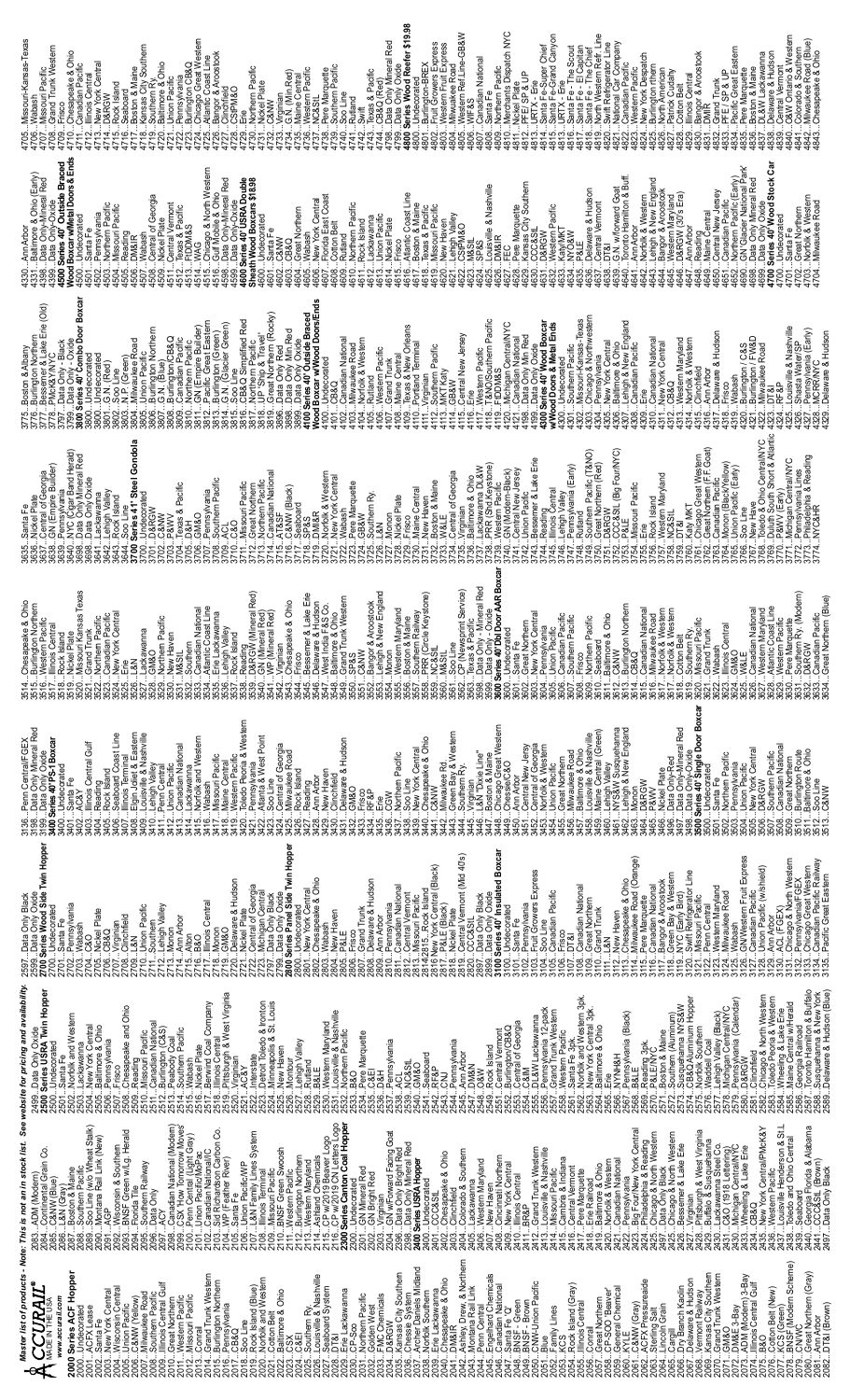| Missouri-Kansas-Texas<br>Missouri Pacific<br>Grand Trunk Western                                                                                                                                                                                                                                                                                                                                  | lestern<br>4722Pennsylvania<br>4723Burlington CB&Q<br>4724Chicago Great Wester<br>4725Atlantic Coast Line<br>4727Clinchfield<br>4730Northern Pacific<br>4731Nickel Plate<br>4732C&NW<br>3Virginian<br>4G.N. (Min.Red)<br>5Maine Central<br>6Western Pacific<br><b>OSMAGS:</b>                    | $\frac{474476268}{4744CBAO (Red)}$<br>$\frac{4744CBAO (Red)}{4798Deta Only (Minera) Red}$<br>$\frac{4798Deta only O X0e4ere f4 f4g4g4g4g4g4g4g4g4g4g4g4g4g4g4g47NC&StL8Pere Marquette9Southern Pacific0Soo LineRutland$                                  | Santa Fe<br>Northern Pacific<br>Merchants Dispatch NYC<br>Nickel Plate<br>P.FE/ SP & UP<br>anadian National                                                                                                                                                                                     | PFE/ str α.v.<br>URTX - E-Super Chief<br>1 URTX - E-March Canyon<br>3 URTX - E-Me Scout<br>6 URTX - E-Me Scout<br>6 URTX - E-Me Scout<br>6 Santa Fe - El Capitan<br>19 Santa Fe - El Capitan<br>19 Santa Fe - E                                                                                                                                                                                                                     | O&W Ontario & Western<br>Colorado & Southern<br>Milwaukee Road (Blue)<br>Chesapeake & Ohio<br>4832Grand Trunk<br>4833PFE / SP & t<br>4835Pee Marquette<br>4835Pee Marquette<br>4836Doskon & Marne<br>4838Delaware & Hudson<br>4838Delaware & Hudson<br>entral Vermon<br>$\begin{array}{c} 100 \ \hline 289 \ \hline 289 \ \hline \end{array}$<br>1843<br>843<br>848                                                                                                                         |
|---------------------------------------------------------------------------------------------------------------------------------------------------------------------------------------------------------------------------------------------------------------------------------------------------------------------------------------------------------------------------------------------------|--------------------------------------------------------------------------------------------------------------------------------------------------------------------------------------------------------------------------------------------------------------------------------------------------|----------------------------------------------------------------------------------------------------------------------------------------------------------------------------------------------------------------------------------------------------------|-------------------------------------------------------------------------------------------------------------------------------------------------------------------------------------------------------------------------------------------------------------------------------------------------|-------------------------------------------------------------------------------------------------------------------------------------------------------------------------------------------------------------------------------------------------------------------------------------------------------------------------------------------------------------------------------------------------------------------------------------|---------------------------------------------------------------------------------------------------------------------------------------------------------------------------------------------------------------------------------------------------------------------------------------------------------------------------------------------------------------------------------------------------------------------------------------------------------------------------------------------|
| 4331Baitimore & Ohio (Early)<br>4388Data Ohily-Mineral Red<br>4309. Series Ohi Cutside Braced<br>Wood Boxcar w/Metal Doors & Ends<br>Wood Boxcar w/Metal Doors & Ends<br>.Wabash<br>.Central of Georgia<br>.Nickel Plate<br>.Central Vermont<br>.Texas & Pacific<br>. Santa Fe<br>Pennsylvania<br>Northern Pacific<br>. Missouri Pacific<br><b>Indecorated</b><br>Reading<br>DM&IR                | 574WAG<br>575Chicago & North Western<br>576Gulf Mobile & Ohio<br>598Data Only-Oxide<br>590 Series 40' USRA Double<br>Sheath Wood Boxcars \$18.98<br>600…Undecorated<br>601…Santa Fe<br>602…C&NW<br>Great Northern<br>Wabash<br><b>D8G</b>                                                        | <b>Klantic Coast Line</b><br>Joston & Maine<br>New York Central<br>Florida East Coast<br>Cotton Belt<br>Rutland<br>Northern Pacific<br>Rock Island<br>Texas & Pacific<br>Missouri Pacific<br>Jnion Pacific<br>Vickel Plate<br>ackawanna                  | Pere Marquette<br>Kansas City Southern<br>CCC&StL<br>D&RGW<br>Louisville & Nashville<br>DM&IR<br>Western Pacific<br>KatyMKT<br>NYO&W<br>_ehigh Valley<br>CStPM&O<br><b>Vew Haven</b>                                                                                                            | .:G.N. wforward Goat<br>Toronto Hamilton & Buff.<br>Norn Arbor<br>Lehigh & New England<br>Lehigh & Aroostook<br>Bangow (90% Era)<br>D&RGW (90% Era)Ann Arbor<br>Delaware & Hudson<br>Central Vermont<br>DT&l<br>Reading<br>al E                                                                                                                                                                                                     | 4648_Maine_Gantal<br>4681_Cantral New Jersey<br>4662_Northern Pacific (Early)<br>4662_Northern Pacific (Early)<br>4682_David Chry Mikelana Park<br>4689_Data Only Divide<br>4700_Philesonated<br>4700_Philesonated<br>4701Santa Fe<br>4702Great Northern<br>4703Norfolk & Western<br>4704Milwaukee Road                                                                                                                                                                                     |
| <b>Boxcar</b><br>rie (Old)<br>3800Undecorated<br>3801G.N. (Red)<br>3802Soo Line<br>3803N.P. (Green)                                                                                                                                                                                                                                                                                               |                                                                                                                                                                                                                                                                                                  | western Pacific<br>Grand Trunk<br>Maine Central<br>Texas & New Orleans<br>Portland Terminal<br>filwaukee Road<br>Iorfolk & Western<br><sup>r</sup> irginian<br>Southern Pacific<br>utland                                                                | 1171: Western Pacific<br>1189: T&NOXSouthern Pacific<br>1180: Michigan CentralAYC<br>1120: Michigan CentralAYC<br>1198: Data Only Maried<br>1198: Data Only Oxide<br>MWood Doors & Metal Ends<br>MWood Doors & Metal Ends<br>entral New Jersey<br>Indecorated<br><b>IKT Katy</b><br><b>W89:</b> | Southern Pacific<br>Missouri-Kansas-Texas<br>Chicago & Northwestern<br>Pennsylvania<br>New York Central<br>Baltimore & Ohio<br>Lehigh & New England<br>Canadian Pacific<br>Canadian National<br>Vew York Central<br>2B&Q<br>≫≌watern Maryland<br>Norfolk & Western<br>Clinchfield<br>.e                                                                                                                                             | puisville & Nashville<br>Pennsylvania (Early)<br>MCRR/NYC<br>Delaware & Hudson<br>Ann Arbor<br><u>D</u> elaware & Hudson<br>Burlington / C&S<br>Burlington / FW&D<br>Vilwaukee Road<br>Vilwaukee Road<br>hasta Water/S<br>)T&U<br>장동<br>risco                                                                                                                                                                                                                                               |
| 9644Soo Line<br>3700 Series 41' Steel (<br>3700Undecorated<br>3701D&RGW<br>&NM                                                                                                                                                                                                                                                                                                                    | –≔ouri Pacific<br>Great Northern<br>Northern Pacific<br>Canadian National<br>^T&SF<br>07Pennsylvania<br>08Southern Pacific<br>u4Texas & Pacific<br>05D&H<br><b>S&amp;NW</b> (Black)<br>Reaboard<br><b>OWR</b><br>౹౦ౢ                                                                             | JMI&R<br>Norfolk & Western<br>New York Central<br>Jew Haven<br>Boston & Maine<br>Marquette<br>risco<br><i>faine</i> Central<br>buthern Ry.<br>ickel Plate<br>abash                                                                                       | Virginian<br>Baltimore & Ohio<br>Lack Sharura DL&W<br>Lack Sharura DL&W<br>Western Paotic<br>CN (Modern-Black)<br>Union Paotic<br>Union Paotier & Lake Erie<br>Dessener & Lake Erie<br>Reading<br>Illinois Central<br>Lehigh Valley<br>Pennsylvania (Early)<br>entral of Georgia                | &StL (Big Four/NYC)<br>outhern Pacific (T&NO)<br>reat Northern (Red)<br>Rock Island<br>Western Maryland<br>NC&StL<br>ጋT&I<br>issouri Pacific<br><b>TAIN AB</b><br>೮೫                                                                                                                                                                                                                                                                | bledo & Ohio Central/NYC<br>uluth South Short & Atlant<br>&WV (Early)<br>Chićago Great Western<br>Great Northern (F.F. Goat)<br>Canadian Pacific<br>Monon (Black/Yellow)<br>Union Pacific (Early)<br>Pennsylvania Lines<br>Philadelphia & Reading<br>NYC&HR<br>ichigan Central/NYC<br>ew Have<br>$\frac{1}{8}$                                                                                                                                                                              |
| ri Kansas Texas<br>peake & Ohio<br>jton Northern<br>m Pacific<br>Trunk<br>im Pacific<br>ian Pacific<br>ork Central<br>im Pacific<br>aven<br>awanna                                                                                                                                                                                                                                                | w (Mineral Red)<br>lineral Red)<br>lineral Red)<br>beake & Ohio<br>lian National<br>c Coast Line<br>ackawanna<br>i Valley<br>sland<br>$\subseteq$                                                                                                                                                | ir & Aroostook<br>1 & New England<br>mer & Lake Erie<br>are & Hudson<br>India F&S Co.<br>ore & Ohio<br>im Maryland<br>n & Maine<br>ern Railway<br>Circle Keystone)<br><b>Trunk Western</b>                                                               | Only - Mineral Red<br>Only - Oxide<br><b>0' Did Door AAR Bo</b><br><u>p</u> rated<br>wsprint Service<br>Northern<br>ork Central<br>Pacific<br>ian Pacific<br>Ivania<br>& Pacifi<br>598Data O<br>599Data O<br><b>600 Series 40</b><br>ຂ່                                                         | ton Northern<br>iian National<br>Jkee Road<br>k & Western<br>h Be <u>lt</u><br>h Belt<br>ard<br><sub>Jre &amp; Ohio</sub><br>m Pacific<br>m Pacific<br>im Ry.<br>Iri Pacific                                                                                                                                                                                                                                                        | <i>l</i> larquette<br>em Ry. (Modern)<br>lian Pacific<br>Northern (Blue)<br>lian National<br>m Maryland<br>c Coast Line<br>m Pacific<br>"<br>Central<br>Trunk                                                                                                                                                                                                                                                                                                                               |
| 3136Penn Central/FGEX<br>3198Data Only Mineral Red<br>3199Data Only Oxide<br><b>3400 Series 40' PS-1 Boxcar</b><br>3404Reading<br>3405Rock Island<br>3407Ilinois Terminal<br>3407Ilinois Terminal<br>3408Elgin Joliet & Eastern<br>3410Louisville & Nashville<br>3411Penn Central<br>403Illinois Central Gulf<br><b>Inion Pacific</b><br>3400Undecorated<br>3401Santa Fe<br>3402AC&Y<br>19402AC&Y | : Wissouri Pacific<br>Maine Central<br>Western Pacific<br>Western Pacific & Western<br>Dendo Pacific & West Point<br>.ackawanna<br>Jorfolk and Western<br>Canadian National<br>:Central of Georgia<br>Milwaukee Road<br>Rock Island<br>oo Line<br>Nabash                                         | 31Delaware & Hudson<br>32GM&O<br>33Frisco<br>Chesapeake & Ohio<br>C&NW<br><b>Jew York Centra</b><br>Northern Pacific<br><b>Jew Haven</b><br>Reading<br>Ann Arbor<br>Clinchfield<br>soo Line<br>RF&P<br>న<br>న                                            | . Virginian<br>L&N "Dixie Line"<br>L&N "Dixie Line"<br>Chicago Great Western<br>Chessie/C&O<br>Milwaukee Rd.<br>Green Bay & Western<br>Southern Ry.<br><b>Arbor</b>                                                                                                                             | 3466…Nickiel Plate<br>3496…Data Only-Red<br>3497…Data Only-Mineral Red<br>3500 Series 40 Srigle Door Boxcar<br>3500…Undecorated<br>461NYS&W Susquehanna<br>462Lehigh & New England<br>163Monon<br>451Central New Jersy<br>452Central of Georgia<br>454Union Particles<br>454Union Particles<br>455Great Northern<br>456Great Northern Barbard<br>458Louisville & Nashville<br>450Lehigh Valley<br>460Lehigh Valley<br>D&RGW<br>P&WV | anadian Nationa<br>5. New York Central<br>Great Northern<br>Burlington Route<br>Baltimore & Ohio<br>Southern Pacific<br><b>Jorthern Pacific</b><br>03. .Pennsylvania<br>04. .Union Pacific<br>ianta Fe<br>Soo Line<br>C&NW<br>06.D&RGW                                                                                                                                                                                                                                                      |
| 597Data Only Black<br>599Data Only Oxide<br>700 Series Wood Side Twin Hopper<br>702Pennsylvania<br>703Wabash<br>Union Pacific<br>Southern<br>Lehigh Valley<br>Monon<br>Undecorated<br>Nickel Plate<br>CB&Q<br>7Virginian<br>8Clinchfield<br>01Santa Fe<br>$-18$<br><b>POS</b>                                                                                                                     | 720Deiaware & Hudson<br>721Uickel Piete<br>723Michigan Central<br>723Michigan Central<br>797Data Only Black<br>800 Series Panel Side Twin Hopper<br>00Undecorated<br>01New York Central<br>02Chesapeake & Ohio<br>Illinois Centra<br><b>un Arbor</b><br>.Monon<br>GM&O<br>Alton<br>வல் அந்த செல் | 810Penrisyivania<br>811Canadian National<br>812Central Vencific<br>814/2815Rock Island<br>816 New York Central (Black)<br>816 New York Central (Black)<br>3Frisco<br>7Grand Trunk<br>3Delaware & Hudson<br>+ New Haven<br><sub>3</sub> P&LE<br>Ann Arbor | 2819Central Vermont (Mid 40's)<br>2820CCC & Mi<br>2899Data Only Dack<br>2899Data Only Oxide<br>1100Santa Fe<br>1101Santa Fe<br>Pennsylvania<br>Fruit Growers Express<br>Soo Line<br>Canadian Pacific<br>P&LE (Black)<br>Nickel Plate<br>Frisco                                                  | Pere Marquette<br>Canadian National<br>Bangor & Aroostook<br>Green Bay & Western<br>Green Bay & Western<br>Swift Refrigerator Line<br>Missouri Pacific<br>Chesapeake & Ohic<br>Milwaukee Road (O<br>Canadian National<br>Great Northern<br>Grand Trunk<br><b>Jew Haven</b><br>DT&I                                                                                                                                                  | WWestern Fruit Express<br>Chicago & North Western<br>Pennsylvania/FGEX<br>Chicago Great Western<br>Canadian Pacific Railway<br>Pacific Great Eastern<br>Canadian Pacific<br>Jnion Pacific (w/shield)<br>Western Maryland<br>Milwaukee Road<br>enn Central<br>CL (FGEX)<br>Ann Arbo<br>abash                                                                                                                                                                                                 |
| See website for pricing and availability.<br>Data Only Oxide<br>Series <b>USRA Twin Hopper</b><br>08Chesapeake and Ohio<br>09Reading<br>10Missouri Pacific<br>500…Undecorated<br>501…Sarita Fe<br>501…Sarita Fe di Western<br>503…Lackawanna<br>504…New York Central<br>5505…Eatimore & Ohio<br>5505…Fricms/Vrania<br>Canadian National<br>Burlington (C&S)<br>Peabody Coal<br>Southern Pacific   | ,Nicke <sup>ric</sup> late<br>Berwind Coal Company<br>.Illinois Central<br>.Pritsburgh & West Vriginia<br>.AC&Y<br>Detroit Toledo & Ironton<br>Minneapolis & St. Louis<br>New Haven<br>Montour<br>Lehigh Valley<br>Rutland<br>nterstate                                                          | Western Maryland<br>Louisville & Nashville<br>Northern Pacific<br>Pere Marquette<br>C&EI<br>ennsylvania<br>こと<br>NC&StL<br>Seaboard<br>RF&P<br>RF&P<br>N&H<br>B&O                                                                                        | Pennsylvania 12-pack<br>Grand Trunk Western<br>Western Pacific<br>Sarta Fe 3pk.<br>L&W Lackawanna<br>urlington/CB&Q<br>entral of Georgia<br>Rock Island<br>Central Vermont<br><sup>p</sup> emsylvania<br>∖nn Arbor<br>)M&N<br>NI ≫                                                              | Norfolk and Western 3pk.<br>New York Central 3pk.<br>Baltimore & Ohio<br>usquehanna NYS&W<br>B&Q Aluminum Hopper<br>ennsylvania (Black)<br>&LE<br>inum)<br>orfolk Southern<br>Reading 3pk.<br>∋&LE/NYC<br>3oston & Maine<br>Southern (Alumin<br>NYNH&H                                                                                                                                                                              | nio Hamilton & Buffalo<br>quehanna & New York<br>aware & Hudson (Blue)<br>Clincifield<br>Chicago & North Western<br>Toledo Peoria & Western<br>Wheeling & Lake Erie<br>Maine Central wi Herald<br>Lehigh Valley (Black)<br>Michigan Central/NYC<br>Pemsylvania (Calendar)<br>D&RGW<br><b>jia Railroad</b><br>addell Coa                                                                                                                                                                     |
| 085C&NW(Blue)<br>086L&N (Cray)<br>087Boston & Maine<br>087Boston & Maine<br>089Soo Line (wo Wheat Stalk)<br>090Montana Rail Link (New)<br>32Wisconsin & Southern<br>33BNSF Green w/Lg, Herald<br>34Florida Tile<br>35Data Only<br>36Data Only<br>Note: This is not an in stock list.<br>tinental Grain Co.<br>DM (Modern)<br><b>AGP</b>                                                           | 2106Uania PesificyVP<br>2107L&N Family Lines System<br>2108Illinois Tenenia<br>2110BNSF Green Swoosh<br>2111Western Pacific<br>2111Western Maryland<br>2113Vestern Maryland<br>2113CP w/2019 CN Letters Logo<br>2200 Series                                                                      | 2303Virginian<br>2304GN w/Fory Bright Red<br>2398Data Only Mineral Red<br>2000 Series USRA Hopper<br>)Undecorated<br>1GN Mineral Red<br>2GN Bright Red<br>ndecorated<br><b>CC&amp;StL</b>                                                                | cuncuncus<br>Colorado & Southern<br>Lackawanna<br>Chesapeake & Ohio<br>Clinchfield<br>New Haven<br>Cincinnati Northern<br>New York Central<br>Illinois Central<br>Western Maryland<br>R&P                                                                                                       | Pennsylvania<br>Big Four/New York Central<br>_Philadelphia & Reading<br>__Chicago & North Western<br>__Chicago & North Western<br>__Chicago & North Western<br>__Bessemer & Lake Erie<br>Grand Trunk Western<br>Louisville & Nashville<br>Cambria & Indiana<br>Cambria & Indiana<br>Central Vermont<br>Ente Railroad<br>Ente Railroad<br>Canadian National                                                                          | ouisville Henderson & St.L<br>Toledo and Ohio Central<br>Vew York Central/PMcK&Y<br>Nestern Pacific<br>Georgia Florida & Alabama<br>CCC&StL (Brown)<br>Data Only Black<br>∷Vriginian<br>…Ptrisburgh & West Virginia<br>…Buffalo & Susquel nona<br>…C&O (1918 Lettering)<br>…Wheeling & Lake Erie<br>…Wheeling & Lake Erie<br>eaboard<br>CB&Q                                                                                                                                                |
| Master list of products<br>2000 Series ACF Hopper<br>2000Undecorated<br>2000AGFX Lease<br>2000AGFX Lease<br>2003New York Central<br>2003Wisconsin Central<br>2008UNIWaukee Road<br>2008Milwaukee Road<br>2003Milwaukee Road<br>2003Ilinois Central<br><b>A</b> CCURAIL®<br>www.accurail.com                                                                                                       | 4Grand Trunk Western<br>5Burlington Northern<br>6Pennsylvania<br>7CB&Q<br>2018Soo Line<br>2019Rock Island (Blue)<br>2020Norfolk and Western<br>2021Cotton Belt<br>2022Baltimore & Ohio<br>Western Pacific<br>Missouri Pacific<br>Conrail<br>$X_{S}$<br>Foldate eration                           | 흐<br>0024C&EI<br>0025Southern Ry.<br>0026Louisville & Nashville<br>0027Seaboard System<br>0028DT&I<br>35 Kansas City Southern<br>29Erie Lackawanna<br>30CP-Soo<br>.Northern Pacific<br>2Golden West<br>3FMC Chemicals<br>1D&RGW                          | mer<br>2008Chessie Stystem<br>2007Archer Daniels Middand<br>2003Enie Lackawarena<br>2009Enie Lackawarena<br>2009Enie Lackawarena<br>2004Chespeeke & Ohio<br>2004Daniels, Drew, & Norther<br>2004Engelhard Chemicals<br>2004Engelha<br>2Family Lines<br>3KCS                                     | 2061C&NW (Gray)<br>2062ACFX Pressureaide<br>2063Sterling Salt<br>2064Lincoln Grain<br>∠∪54Ročk Island (Gray)<br>2055Illinois Central<br>2056Conrail<br>2057Great Northern<br>2058CP-SOO 'Beaver'<br>2059General Chemical<br>2060KYLE<br>2060KYLE                                                                                                                                                                                    | 2072DW&E 3-Bay<br>2073ADM (Modern) 3-Bay<br>2074Illiois Central Gulf<br>2074Liois Central Gulf<br>2077KCS (Green)<br>2077CNWC (Modern Scheme)<br>2079CNWC (Modern Scheme)<br>2066Cargill<br>2066DrV Branch Kaolin<br>2068Vermont Railway<br>2068Vermont Railway<br>2009Kansas City, Southern<br>2007GM&O<br>2073ADM (Modem <sub>)</sub> 3-Bay<br>2073ADM (Modem <sub>)</sub> 3-Bay<br>2073Illingis Central Gulf<br>080…Great Northern (Gray)<br>081…Ann Arbor<br>082…DT&I (Brown)<br>CN/VC. |